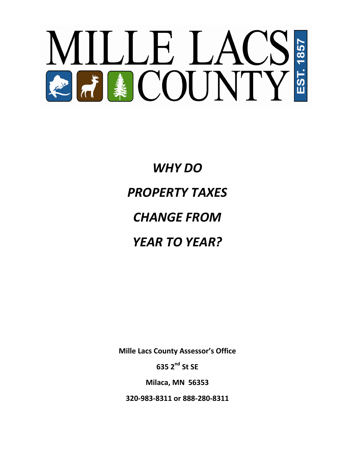

*WHY DO PROPERTY TAXES CHANGE FROM YEAR TO YEAR?*

**Mille Lacs County Assessor's Office**

**635 2nd St SE**

**Milaca, MN 56353**

**320-983-8311 or 888-280-8311**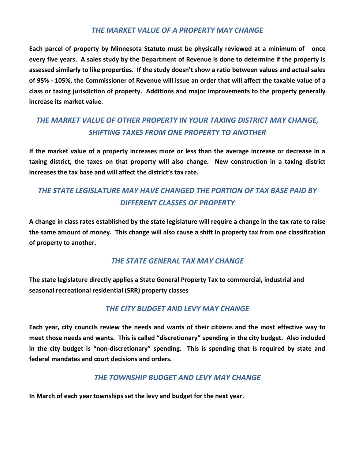#### *THE MARKET VALUE OF A PROPERTY MAY CHANGE*

**Each parcel of property by Minnesota Statute must be physically reviewed at a minimum of once every five years. A sales study by the Department of Revenue is done to determine if the property is assessed similarly to like properties. If the study doesn't show a ratio between values and actual sales of 95% - 105%, the Commissioner of Revenue will issue an order that will affect the taxable value of a class or taxing jurisdiction of property. Additions and major improvements to the property generally increase its market value**.

# *THE MARKET VALUE OF OTHER PROPERTY IN YOUR TAXING DISTRICT MAY CHANGE, SHIFTING TAXES FROM ONE PROPERTY TO ANOTHER*

**If the market value of a property increases more or less than the average increase or decrease in a taxing district, the taxes on that property will also change. New construction in a taxing district increases the tax base and will affect the district's tax rate.**

## *THE STATE LEGISLATURE MAY HAVE CHANGED THE PORTION OF TAX BASE PAID BY DIFFERENT CLASSES OF PROPERTY*

**A change in class rates established by the state legislature will require a change in the tax rate to raise the same amount of money. This change will also cause a shift in property tax from one classification of property to another.**

#### *THE STATE GENERAL TAX MAY CHANGE*

**The state legislature directly applies a State General Property Tax to commercial, industrial and seasonal recreational residential (SRR) property classes**

### *THE CITY BUDGET AND LEVY MAY CHANGE*

**Each year, city councils review the needs and wants of their citizens and the most effective way to meet those needs and wants. This is called "discretionary" spending in the city budget. Also included in the city budget is "non-discretionary" spending. This is spending that is required by state and federal mandates and court decisions and orders.**

#### *THE TOWNSHIP BUDGET AND LEVY MAY CHANGE*

**In March of each year townships set the levy and budget for the next year.**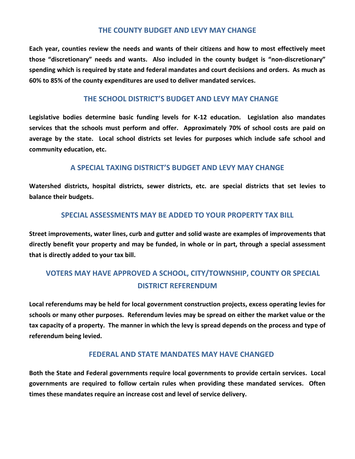#### **THE COUNTY BUDGET AND LEVY MAY CHANGE**

**Each year, counties review the needs and wants of their citizens and how to most effectively meet those "discretionary" needs and wants. Also included in the county budget is "non-discretionary" spending which is required by state and federal mandates and court decisions and orders. As much as 60% to 85% of the county expenditures are used to deliver mandated services.**

#### **THE SCHOOL DISTRICT'S BUDGET AND LEVY MAY CHANGE**

**Legislative bodies determine basic funding levels for K-12 education. Legislation also mandates services that the schools must perform and offer. Approximately 70% of school costs are paid on average by the state. Local school districts set levies for purposes which include safe school and community education, etc.**

#### **A SPECIAL TAXING DISTRICT'S BUDGET AND LEVY MAY CHANGE**

**Watershed districts, hospital districts, sewer districts, etc. are special districts that set levies to balance their budgets.** 

#### **SPECIAL ASSESSMENTS MAY BE ADDED TO YOUR PROPERTY TAX BILL**

**Street improvements, water lines, curb and gutter and solid waste are examples of improvements that directly benefit your property and may be funded, in whole or in part, through a special assessment that is directly added to your tax bill.**

### **VOTERS MAY HAVE APPROVED A SCHOOL, CITY/TOWNSHIP, COUNTY OR SPECIAL DISTRICT REFERENDUM**

**Local referendums may be held for local government construction projects, excess operating levies for schools or many other purposes. Referendum levies may be spread on either the market value or the tax capacity of a property. The manner in which the levy is spread depends on the process and type of referendum being levied.**

#### **FEDERAL AND STATE MANDATES MAY HAVE CHANGED**

**Both the State and Federal governments require local governments to provide certain services. Local governments are required to follow certain rules when providing these mandated services. Often times these mandates require an increase cost and level of service delivery.**